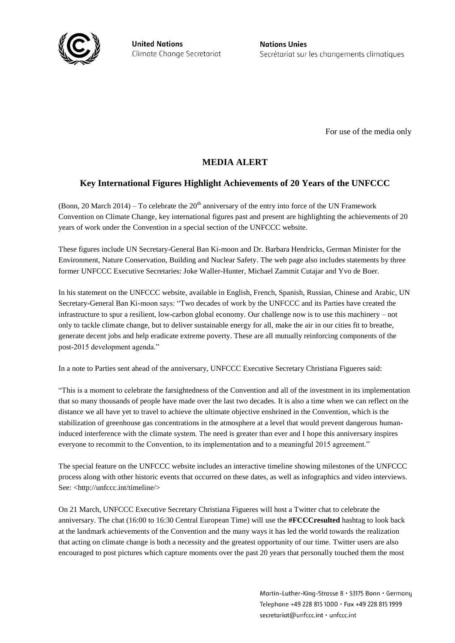

**United Nations** Climate Change Secretariat **Nations Unies** Secrétariat sur les changements climatiques

For use of the media only

## **MEDIA ALERT**

## **Key International Figures Highlight Achievements of 20 Years of the UNFCCC**

(Bonn, 20 March 2014) – To celebrate the  $20<sup>th</sup>$  anniversary of the entry into force of the UN Framework Convention on Climate Change, key international figures past and present are highlighting the achievements of 20 years of work under the Convention in a special section of the UNFCCC website.

These figures include UN Secretary-General Ban Ki-moon and Dr. Barbara Hendricks, German Minister for the Environment, Nature Conservation, Building and Nuclear Safety. The web page also includes statements by three former UNFCCC Executive Secretaries: Joke Waller-Hunter, Michael Zammit Cutajar and Yvo de Boer.

In his statement on the UNFCCC website, available in English, French, Spanish, Russian, Chinese and Arabic, UN Secretary-General Ban Ki-moon says: "Two decades of work by the UNFCCC and its Parties have created the infrastructure to spur a resilient, low-carbon global economy. Our challenge now is to use this machinery – not only to tackle climate change, but to deliver sustainable energy for all, make the air in our cities fit to breathe, generate decent jobs and help eradicate extreme poverty. These are all mutually reinforcing components of the post-2015 development agenda."

In a note to Parties sent ahead of the anniversary, UNFCCC Executive Secretary Christiana Figueres said:

"This is a moment to celebrate the farsightedness of the Convention and all of the investment in its implementation that so many thousands of people have made over the last two decades. It is also a time when we can reflect on the distance we all have yet to travel to achieve the ultimate objective enshrined in the Convention, which is the stabilization of greenhouse gas concentrations in the atmosphere at a level that would prevent dangerous humaninduced interference with the climate system. The need is greater than ever and I hope this anniversary inspires everyone to recommit to the Convention, to its implementation and to a meaningful 2015 agreement."

The special feature on the UNFCCC website includes an interactive timeline showing milestones of the UNFCCC process along with other historic events that occurred on these dates, as well as infographics and video interviews. See: [<http://unfccc.int/timeline/>](http://unfccc.int/timeline/)

On 21 March, UNFCCC Executive Secretary Christiana Figueres will host a Twitter chat to celebrate the anniversary. The chat (16:00 to 16:30 Central European Time) will use the **#FCCCresulted** hashtag to look back at the landmark achievements of the Convention and the many ways it has led the world towards the realization that acting on climate change is both a necessity and the greatest opportunity of our time. Twitter users are also encouraged to post pictures which capture moments over the past 20 years that personally touched them the most

> Martin-Luther-King-Strasse 8 · 53175 Bonn · Germany Telephone +49 228 815 1000 · Fax +49 228 815 1999 secretariat@unfccc.int · unfccc.int